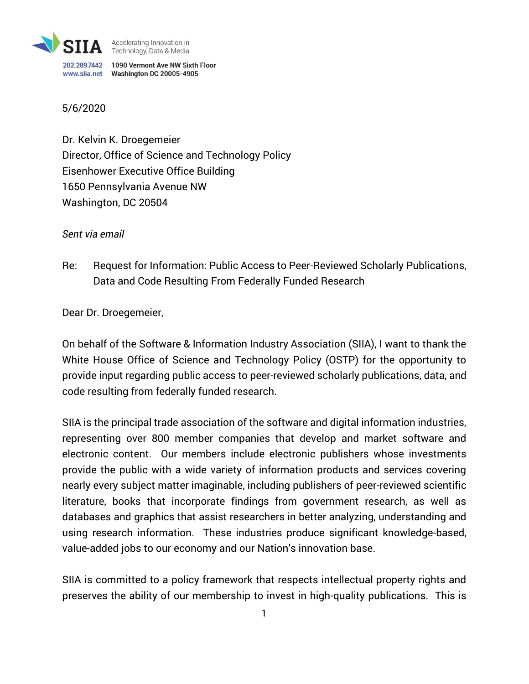

## 5/6/2020

Dr. Kelvin K. Droegemeier Director, Office of Science and Technology Policy Eisenhower Executive Office Building 1650 Pennsylvania Avenue NW Washington, DC 20504

*Sent via email*

Re: Request for Information: Public Access to Peer-Reviewed Scholarly Publications, Data and Code Resulting From Federally Funded Research

Dear Dr. Droegemeier,

On behalf of the Software & Information Industry Association (SIIA), I want to thank the White House Office of Science and Technology Policy (OSTP) for the opportunity to provide input regarding public access to peer-reviewed scholarly publications, data, and code resulting from federally funded research.

SIIA is the principal trade association of the software and digital information industries, representing over 800 member companies that develop and market software and electronic content. Our members include electronic publishers whose investments provide the public with a wide variety of information products and services covering nearly every subject matter imaginable, including publishers of peer-reviewed scientific literature, books that incorporate findings from government research, as well as databases and graphics that assist researchers in better analyzing, understanding and using research information. These industries produce significant knowledge-based, value-added jobs to our economy and our Nation's innovation base.

SIIA is committed to a policy framework that respects intellectual property rights and preserves the ability of our membership to invest in high-quality publications. This is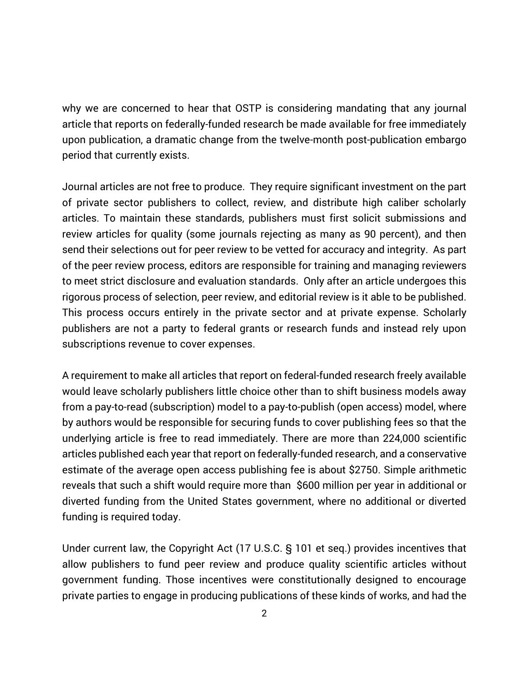why we are concerned to hear that OSTP is considering mandating that any journal article that reports on federally-funded research be made available for free immediately upon publication, a dramatic change from the twelve-month post-publication embargo period that currently exists.

Journal articles are not free to produce. They require significant investment on the part of private sector publishers to collect, review, and distribute high caliber scholarly articles. To maintain these standards, publishers must first solicit submissions and review articles for quality (some journals rejecting as many as 90 percent), and then send their selections out for peer review to be vetted for accuracy and integrity. As part of the peer review process, editors are responsible for training and managing reviewers to meet strict disclosure and evaluation standards. Only after an article undergoes this rigorous process of selection, peer review, and editorial review is it able to be published. This process occurs entirely in the private sector and at private expense. Scholarly publishers are not a party to federal grants or research funds and instead rely upon subscriptions revenue to cover expenses.

A requirement to make all articles that report on federal-funded research freely available would leave scholarly publishers little choice other than to shift business models away from a pay-to-read (subscription) model to a pay-to-publish (open access) model, where by authors would be responsible for securing funds to cover publishing fees so that the underlying article is free to read immediately. There are more than 224,000 scientific articles published each year that report on federally-funded research, and a conservative estimate of the average open access publishing fee is about \$2750. Simple arithmetic reveals that such a shift would require more than \$600 million per year in additional or diverted funding from the United States government, where no additional or diverted funding is required today.

Under current law, the Copyright Act (17 U.S.C. § 101 et seq.) provides incentives that allow publishers to fund peer review and produce quality scientific articles without government funding. Those incentives were constitutionally designed to encourage private parties to engage in producing publications of these kinds of works, and had the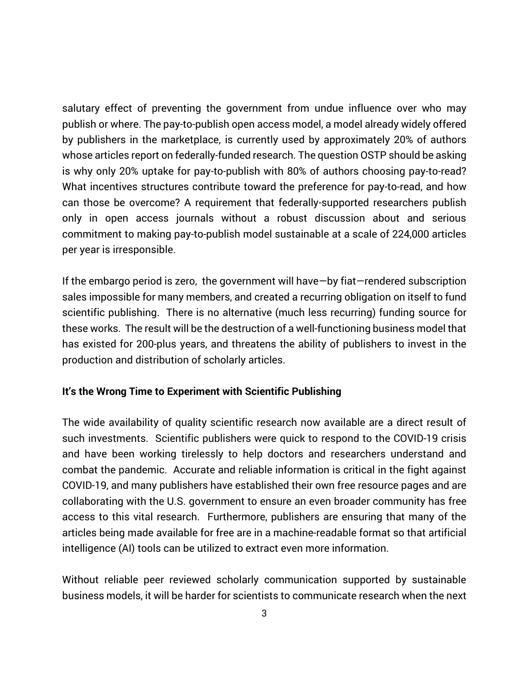salutary effect of preventing the government from undue influence over who may publish or where. The pay-to-publish open access model, a model already widely offered by publishers in the marketplace, is currently used by approximately 20% of authors whose articles report on federally-funded research. The question OSTP should be asking is why only 20% uptake for pay-to-publish with 80% of authors choosing pay-to-read? What incentives structures contribute toward the preference for pay-to-read, and how can those be overcome? A requirement that federally-supported researchers publish only in open access journals without a robust discussion about and serious commitment to making pay-to-publish model sustainable at a scale of 224,000 articles per year is irresponsible.

If the embargo period is zero, the government will have—by fiat—rendered subscription sales impossible for many members, and created a recurring obligation on itself to fund scientific publishing. There is no alternative (much less recurring) funding source for these works. The result will be the destruction of a well-functioning business model that has existed for 200-plus years, and threatens the ability of publishers to invest in the production and distribution of scholarly articles.

## **It's the Wrong Time to Experiment with Scientific Publishing**

The wide availability of quality scientific research now available are a direct result of such investments. Scientific publishers were quick to respond to the COVID-19 crisis and have been working tirelessly to help doctors and researchers understand and combat the pandemic. Accurate and reliable information is critical in the fight against COVID-19, and many publishers have established their own free resource pages and are collaborating with the U.S. government to ensure an even broader community has free access to this vital research. Furthermore, publishers are ensuring that many of the articles being made available for free are in a machine-readable format so that artificial intelligence (AI) tools can be utilized to extract even more information.

Without reliable peer reviewed scholarly communication supported by sustainable business models, it will be harder for scientists to communicate research when the next